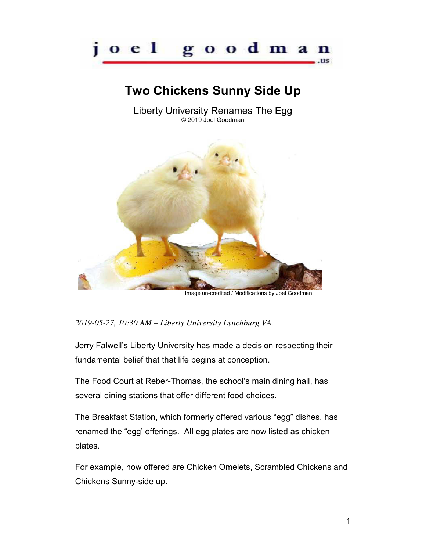

## **Two Chickens Sunny Side Up**

Liberty University Renames The Egg © 2019 Joel Goodman



*2019-05-27, 10:30 AM – Liberty University Lynchburg VA.* 

Jerry Falwell's Liberty University has made a decision respecting their fundamental belief that that life begins at conception.

The Food Court at Reber-Thomas, the school's main dining hall, has several dining stations that offer different food choices.

The Breakfast Station, which formerly offered various "egg" dishes, has renamed the "egg' offerings. All egg plates are now listed as chicken plates.

For example, now offered are Chicken Omelets, Scrambled Chickens and Chickens Sunny-side up.